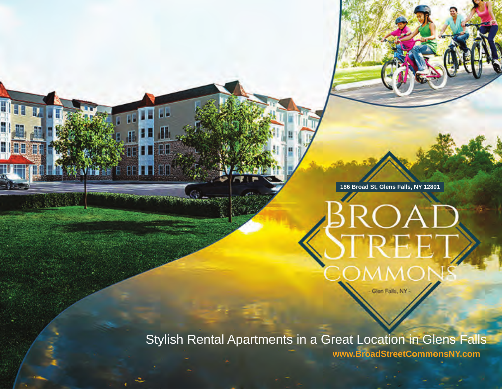**186 Broad St, Glens Falls, NY 12801**

Glen Falls, NY

Stylish Rental Apartments in a Great Location in Glens Falls

Hina

⊞

**THE** 

**www.BroadStreetCommonsNY.com**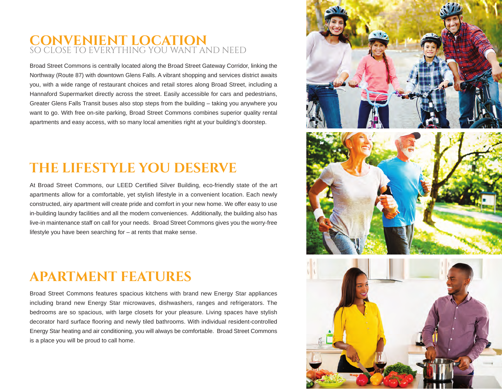### **CONVENIENT LOCATION** SO CLOSE TO EVERYTHING YOU WANT AND NEED

Broad Street Commons is centrally located along the Broad Street Gateway Corridor, linking the Northway (Route 87) with downtown Glens Falls. A vibrant shopping and services district awaits you, with a wide range of restaurant choices and retail stores along Broad Street, including a Hannaford Supermarket directly across the street. Easily accessible for cars and pedestrians, Greater Glens Falls Transit buses also stop steps from the building – taking you anywhere you want to go. With free on-site parking, Broad Street Commons combines superior quality rental apartments and easy access, with so many local amenities right at your building's doorstep.

## **THE LIFESTYLE YOU DESERVE**

At Broad Street Commons, our LEED Certified Silver Building, eco-friendly state of the art apartments allow for a comfortable, yet stylish lifestyle in a convenient location. Each newly constructed, airy apartment will create pride and comfort in your new home. We offer easy to use in-building laundry facilities and all the modern conveniences. Additionally, the building also has live-in maintenance staff on call for your needs. Broad Street Commons gives you the worry-free lifestyle you have been searching for – at rents that make sense.

### **APARTMENT FEATURES**

Broad Street Commons features spacious kitchens with brand new Energy Star appliances including brand new Energy Star microwaves, dishwashers, ranges and refrigerators. The bedrooms are so spacious, with large closets for your pleasure. Living spaces have stylish decorator hard surface flooring and newly tiled bathrooms. With individual resident-controlled Energy Star heating and air conditioning, you will always be comfortable. Broad Street Commons is a place you will be proud to call home.

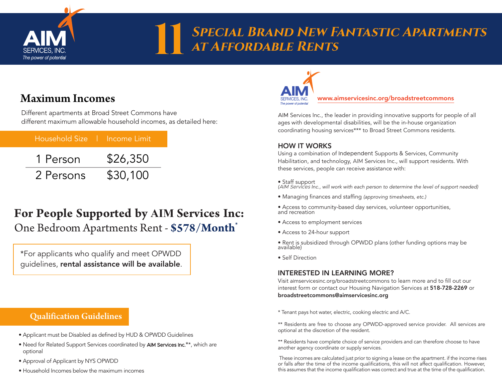

## **Special Brand New Fantastic Apartments 11 SPECIAL BRAND NEW FASTER**

### Maximum Incomes

Different apartments at Broad Street Commons have different maximum allowable household incomes, as detailed here:

|           | Household Size   Income Limit |
|-----------|-------------------------------|
| 1 Person  | \$26,350                      |
| 2 Persons | \$30,100                      |

### **For People Supported by AIM Services Inc:** One Bedroom Apartments Rent - **\$578/Month**\*

\*For applicants who qualify and meet OPWDD guidelines, rental assistance will be available.

### Qualification Guidelines

- Applicant must be Disabled as defined by HUD & OPWDD Guidelines
- Need for Related Support Services coordinated by AIM Services Inc.**\***\*, which are optional
- Approval of Applicant by NYS OPWDD
- Household Incomes below the maximum incomes



www.aimservicesinc.org/broadstreetcommons

AIM Services Inc., the leader in providing innovative supports for people of all ages with developmental disabilities, will be the in-house organization coordinating housing services\*\*\* to Broad Street Commons residents.

#### HOW IT WORKS

Using a combination of Independent Supports & Services, Community Habilitation, and technology, AIM Services Inc., will support residents. With these services, people can receive assistance with:

#### • Staff support

*(*AIM Services *Inc., will work with each person to determine the level of support needed)*

- Managing finances and staffing *(approving timesheets, etc.)*
- Access to community-based day services, volunteer opportunities, and recreation
- Access to employment services
- Access to 24-hour support

• Rent is subsidized through OPWDD plans (other funding options may be available)

• Self Direction

#### INTERESTED IN LEARNING MORE?

Visit aimservicesinc.org/broadstreetcommons to learn more and to fill out our interest form or contact our Housing Navigation Services at 518-728-2269 or broadstreetcommons@aimservicesinc.org

\* Tenant pays hot water, electric, cooking electric and A/C.

\*\* Residents are free to choose any OPWDD-approved service provider. All services are optional at the discretion of the resident.

\*\* Residents have complete choice of service providers and can therefore choose to have another agency coordinate or supply services.

These incomes are calculated just prior to signing a lease on the apartment. if the income rises or falls after the time of the income qualifications, this will not affect qualification. However, this assumes that the income qualification was correct and true at the time of the qualification.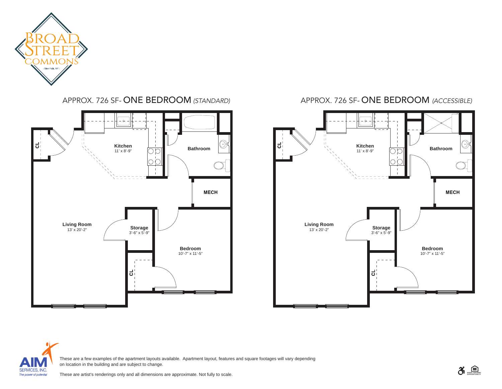

APPROX. 726 SF- ONE BEDROOM *(STANDARD)*



#### APPROX. 726 SF- ONE BEDROOM *(ACCESSIBLE)*





These are a few examples of the apartment layouts available. Apartment layout, features and square footages will vary depending on location in the building and are subject to change.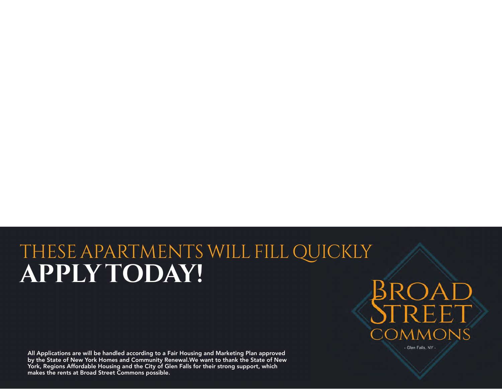# THESE APARTMENTS WILLFILL QUICKLY **APPLY TODAY!**

All Applications are will be handled according to a Fair Housing and Marketing Plan approved by the State of New York Homes and Community Renewal.We want to thank the State of New York, Regions Affordable Housing and the City of Glen Falls for their strong support, which makes the rents at Broad Street Commons possible.



- Glen Falls, NY -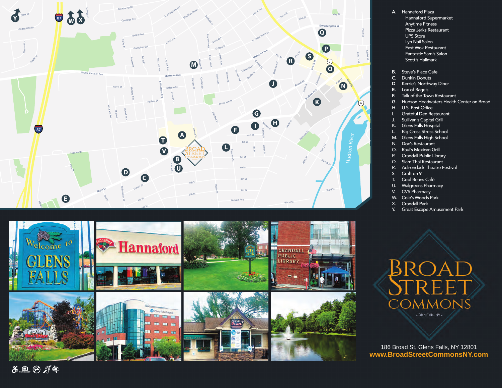

![](_page_5_Picture_1.jpeg)

- A. Hannaford Plaza Hannaford Supermarket Anytime Fitness Pizza Jerks Restaurant UPS Store Lyn Nail Salon East Wok Restaurant Fantastic Sam's Salon Scott's Hallmark
- B. Steve's Place Cafe
- C. Dunkin Donuts<br>D Kerrie's Northw
- **D** Kerrie's Northway Diner<br>**E.** Lox of Bagels
- Lox of Bagels
- **F.** Talk of the Town Restaurant<br>**G.** Hudson Headwaters Health
- Hudson Headwaters Health Center on Broad
- H. U.S. Post Office
- I. Grateful Den Restaurant
- J. Sullivan's Capital Grill
- K. Glens Falls Hospital
- L. Big Cross Stress School
- M. Glens Falls High School
- N. Doc's Restaurant
- O. Raul's Mexican Grill P. Crandall Public Library
- 
- Q. Siam Thai Restaurant<br>R. Adirondack Theatre F R. Adirondack Theatre Festival<br>S. Craft on 9
- Craft on 9
- T. Cool Beans Café
- U. Walgreens Pharmacy
- V. CVS Pharmacy
- W. Cole's Woods Park
- X. Crandall Park<br>Y. Great Escape
- Great Escape Amusement Park

Broad **COMMONS** Glen Falls, NY -

186 Broad St, Glens Falls, NY 12801 **www.BroadStreetCommonsNY.com**

**EQUAL HOUSING OPPORTUNITY**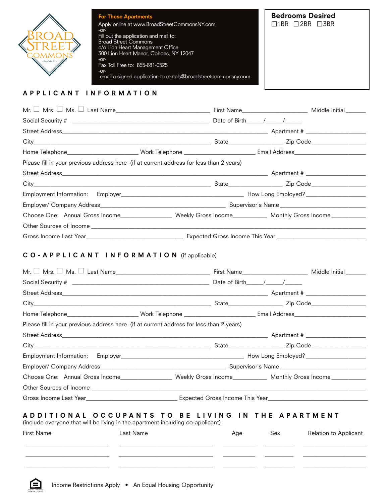![](_page_6_Picture_0.jpeg)

#### **APPLICANT INFORMATION**

| Please fill in your previous address here (if at current address for less than 2 years) |                                                                                                                                                                                                                                |
|-----------------------------------------------------------------------------------------|--------------------------------------------------------------------------------------------------------------------------------------------------------------------------------------------------------------------------------|
|                                                                                         |                                                                                                                                                                                                                                |
|                                                                                         |                                                                                                                                                                                                                                |
|                                                                                         |                                                                                                                                                                                                                                |
|                                                                                         |                                                                                                                                                                                                                                |
|                                                                                         | Choose One: Annual Gross Income_____________________ Weekly Gross Income__________ Monthly Gross Income__________                                                                                                              |
|                                                                                         |                                                                                                                                                                                                                                |
|                                                                                         |                                                                                                                                                                                                                                |
| CO-APPLICANT INFORMATION (if applicable)                                                |                                                                                                                                                                                                                                |
|                                                                                         |                                                                                                                                                                                                                                |
|                                                                                         |                                                                                                                                                                                                                                |
|                                                                                         |                                                                                                                                                                                                                                |
|                                                                                         |                                                                                                                                                                                                                                |
|                                                                                         |                                                                                                                                                                                                                                |
|                                                                                         | Home Telephone________________________Work Telephone ____________________________ Email Address_____________________                                                                                                           |
|                                                                                         |                                                                                                                                                                                                                                |
| Please fill in your previous address here (if at current address for less than 2 years) |                                                                                                                                                                                                                                |
|                                                                                         |                                                                                                                                                                                                                                |
|                                                                                         |                                                                                                                                                                                                                                |
|                                                                                         | Choose One: Annual Gross Income___________________ Weekly Gross Income__________ Monthly Gross Income_________                                                                                                                 |
|                                                                                         | Other Sources of Income Delaware and the contract of the contract of the contract of the contract of the contract of the contract of the contract of the contract of the contract of the contract of the contract of the contr |

(include everyone that will be living in the apartment including co-applicant)

| First Name | Last Name | Age | Sex | Relation to Applicant |
|------------|-----------|-----|-----|-----------------------|
|            |           |     |     |                       |
|            |           |     |     |                       |

![](_page_6_Picture_5.jpeg)